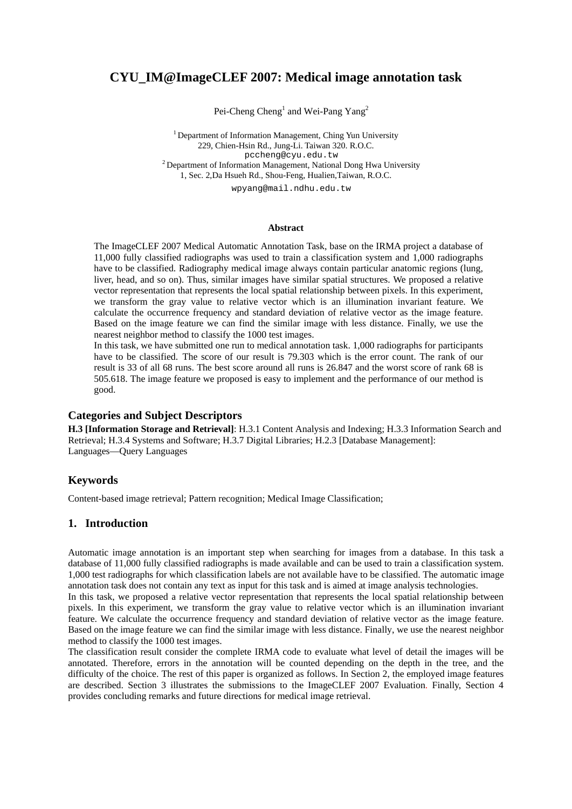# **CYU\_IM@ImageCLEF 2007: Medical image annotation task**

Pei-Cheng Cheng<sup>1</sup> and Wei-Pang Yang<sup>2</sup>

<sup>1</sup> Department of Information Management, Ching Yun University 229, Chien-Hsin Rd., Jung-Li. Taiwan 320. R.O.C.  $2$  Department of Information Management, National Dong Hwa University 1, Sec. 2,Da Hsueh Rd., Shou-Feng, Hualien,Taiwan, R.O.C.

wpyang@mail.ndhu.edu.tw

#### **Abstract**

The [ImageCLEF 2007](http://ir.shef.ac.uk/imageclef/) Medical Automatic Annotation Task, base on the [IRMA project](http://www.irma-project.org/) a database of 11,000 fully classified radiographs was used to train a classification system and 1,000 radiographs have to be classified. Radiography medical image always contain particular anatomic regions (lung, liver, head, and so on). Thus, similar images have similar spatial structures. We proposed a relative vector representation that represents the local spatial relationship between pixels. In this experiment, we transform the gray value to relative vector which is an illumination invariant feature. We calculate the occurrence frequency and standard deviation of relative vector as the image feature. Based on the image feature we can find the similar image with less distance. Finally, we use the nearest neighbor method to classify the 1000 test images.

In this task, we have submitted one run to medical annotation task. 1,000 radiographs for participants have to be classified. The score of our result is 79.303 which is the error count. The rank of our result is 33 of all 68 runs. The best score around all runs is 26.847 and the worst score of rank 68 is 505.618. The image feature we proposed is easy to implement and the performance of our method is good.

## **Categories and Subject Descriptors**

**H.3 [Information Storage and Retrieval]**: H.3.1 Content Analysis and Indexing; H.3.3 Information Search and Retrieval; H.3.4 Systems and Software; H.3.7 Digital Libraries; H.2.3 [Database Management]: Languages—Query Languages

# **Keywords**

Content-based image retrieval; Pattern recognition; Medical Image Classification;

# **1. Introduction**

Automatic image annotation is an important step when searching for images from a database. In this task a database of 11,000 fully classified radiographs is made available and can be used to train a classification system. 1,000 test radiographs for which classification labels are not available have to be classified. The automatic image annotation task does not contain any text as input for this task and is aimed at image analysis technologies.

In this task, we proposed a relative vector representation that represents the local spatial relationship between pixels. In this experiment, we transform the gray value to relative vector which is an illumination invariant feature. We calculate the occurrence frequency and standard deviation of relative vector as the image feature. Based on the image feature we can find the similar image with less distance. Finally, we use the nearest neighbor method to classify the 1000 test images.

The classification result consider the complete [IRMA code](http://phobos.imib.rwth-aachen.de/irma/irma_code_formular_en.php) to evaluate what level of detail the images will be annotated. Therefore, errors in the annotation will be counted depending on the depth in the tree, and the difficulty of the choice. The rest of this paper is organized as follows. In Section 2, the employed image features are described. Section 3 illustrates the submissions to the ImageCLEF 2007 Evaluation. Finally, Section 4 provides concluding remarks and future directions for medical image retrieval.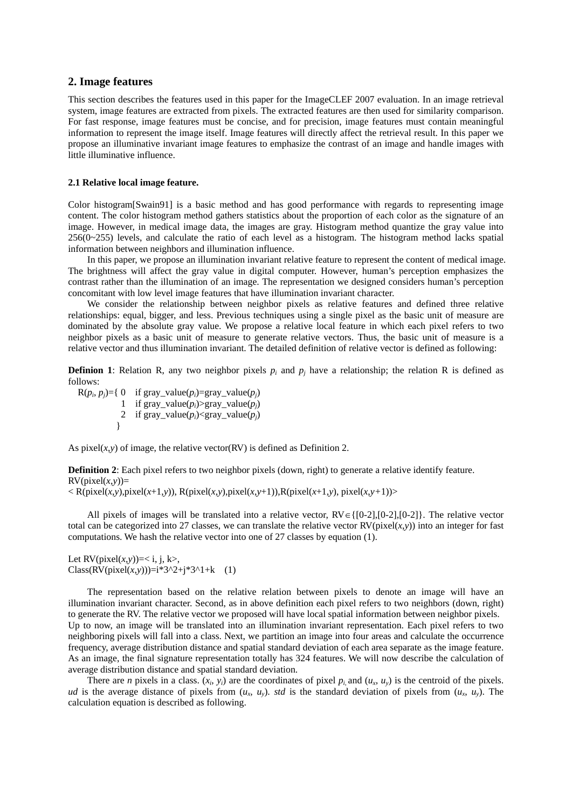### **2. Image features**

This section describes the features used in this paper for the ImageCLEF 2007 evaluation. In an image retrieval system, image features are extracted from pixels. The extracted features are then used for similarity comparison. For fast response, image features must be concise, and for precision, image features must contain meaningful information to represent the image itself. Image features will directly affect the retrieval result. In this paper we propose an illuminative invariant image features to emphasize the contrast of an image and handle images with little illuminative influence.

#### **2.1 Relative local image feature.**

Color histogram[Swain91] is a basic method and has good performance with regards to representing image content. The color histogram method gathers statistics about the proportion of each color as the signature of an image. However, in medical image data, the images are gray. Histogram method quantize the gray value into 256(0~255) levels, and calculate the ratio of each level as a histogram. The histogram method lacks spatial information between neighbors and illumination influence.

In this paper, we propose an illumination invariant relative feature to represent the content of medical image. The brightness will affect the gray value in digital computer. However, human's perception emphasizes the contrast rather than the illumination of an image. The representation we designed considers human's perception concomitant with low level image features that have illumination invariant character.

We consider the relationship between neighbor pixels as relative features and defined three relative relationships: equal, bigger, and less. Previous techniques using a single pixel as the basic unit of measure are dominated by the absolute gray value. We propose a relative local feature in which each pixel refers to two neighbor pixels as a basic unit of measure to generate relative vectors. Thus, the basic unit of measure is a relative vector and thus illumination invariant. The detailed definition of relative vector is defined as following:

**Definion 1**: Relation R, any two neighbor pixels  $p_i$  and  $p_j$  have a relationship; the relation R is defined as follows:

 $R(p_i, p_j) = \{ 0 \text{ if } gray_value(p_i) = gray_value(p_j)$ 1 if gray\_value(*pi*)>gray\_value(*pj*) 2 if gray\_value( $p_i$ )<gray\_value( $p_i$ ) }

As pixel $(x, y)$  of image, the relative vector(RV) is defined as Definition 2.

**Definition 2**: Each pixel refers to two neighbor pixels (down, right) to generate a relative identify feature.  $RV$ (pixel(*x*,*y*))=

 $\langle R(\text{pixel}(x, y), \text{pixel}(x+1, y)), R(\text{pixel}(x, y), \text{pixel}(x, y+1)), R(\text{pixel}(x+1, y), \text{pixel}(x, y+1))\rangle$ 

All pixels of images will be translated into a relative vector, RV∈{[0-2],[0-2],[0-2]}. The relative vector total can be categorized into 27 classes, we can translate the relative vector  $RV$ (pixel(*x,y*)) into an integer for fast computations. We hash the relative vector into one of 27 classes by equation (1).

Let  $RV(pixel(x, y))=$ ,  $Class(RV(pixel(x,y)))=i*3^2+j*3^1+k$  (1)

The representation based on the relative relation between pixels to denote an image will have an illumination invariant character. Second, as in above definition each pixel refers to two neighbors (down, right) to generate the RV. The relative vector we proposed will have local spatial information between neighbor pixels. Up to now, an image will be translated into an illumination invariant representation. Each pixel refers to two neighboring pixels will fall into a class. Next, we partition an image into four areas and calculate the occurrence frequency, average distribution distance and spatial standard deviation of each area separate as the image feature. As an image, the final signature representation totally has 324 features. We will now describe the calculation of average distribution distance and spatial standard deviation.

There are *n* pixels in a class.  $(x_i, y_i)$  are the coordinates of pixel  $p_i$  and  $(u_x, u_y)$  is the centroid of the pixels. *ud* is the average distance of pixels from  $(u_x, u_y)$ , *std* is the standard deviation of pixels from  $(u_x, u_y)$ . The calculation equation is described as following.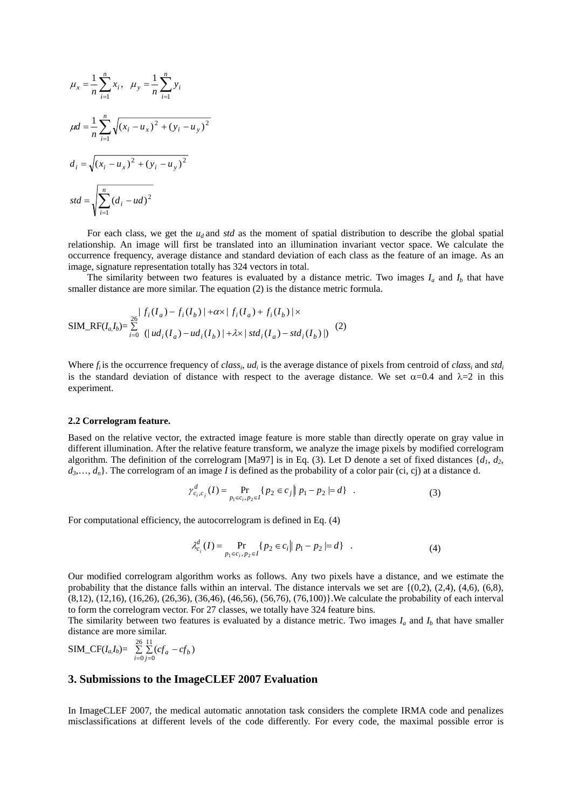$$
\mu_x = \frac{1}{n} \sum_{i=1}^n x_i, \quad \mu_y = \frac{1}{n} \sum_{i=1}^n y_i
$$
  
\n
$$
\mu d = \frac{1}{n} \sum_{i=1}^n \sqrt{(x_i - u_x)^2 + (y_i - u_y)^2}
$$
  
\n
$$
d_i = \sqrt{(x_i - u_x)^2 + (y_i - u_y)^2}
$$
  
\n
$$
std = \sqrt{\sum_{i=1}^n (d_i - ud)^2}
$$

For each class, we get the  $u_d$  and *std* as the moment of spatial distribution to describe the global spatial relationship. An image will first be translated into an illumination invariant vector space. We calculate the occurrence frequency, average distance and standard deviation of each class as the feature of an image. As an image, signature representation totally has 324 vectors in total.

The similarity between two features is evaluated by a distance metric. Two images  $I_a$  and  $I_b$  that have smaller distance are more similar. The equation (2) is the distance metric formula.

$$
SIM\_RF(I_a,I_b) = \sum_{i=0}^{26} |f_i(I_a) - f_i(I_b)| + \alpha \times |f_i(I_a) + f_i(I_b)| \times
$$
  
\n
$$
SIM\_RF(I_a,I_b) = \sum_{i=0}^{26} (|ud_i(I_a) - ud_i(I_b)| + \lambda \times |std_i(I_a) - std_i(I_b)|)
$$
 (2)

Where  $f_i$  is the occurrence frequency of *class<sub>i</sub>*,  $ud_i$  is the average distance of pixels from centroid of *class<sub>i</sub>* and *std<sub>i</sub>* is the standard deviation of distance with respect to the average distance. We set  $\alpha$ =0.4 and  $\lambda$ =2 in this experiment.

#### **2.2 Correlogram feature.**

Based on the relative vector, the extracted image feature is more stable than directly operate on gray value in different illumination. After the relative feature transform, we analyze the image pixels by modified correlogram algorithm. The definition of the correlogram [Ma97] is in Eq. (3). Let D denote a set of fixed distances  $\{d_1, d_2,$  $d_3, \ldots, d_n$ . The correlogram of an image *I* is defined as the probability of a color pair (ci, cj) at a distance d.

$$
\gamma_{c_i,c_j}^d(I) = \Pr_{p_1 \in c_i, p_2 \in I} \{ p_2 \in c_j \mid p_1 - p_2 \mid = d \} \quad . \tag{3}
$$

For computational efficiency, the autocorrelogram is defined in Eq. (4)

$$
\lambda_{c_i}^d(I) = \Pr_{p_1 \in c_i, p_2 \in I} \{ p_2 \in c_i \mid p_1 - p_2 \mid = d \} \quad . \tag{4}
$$

Our modified correlogram algorithm works as follows. Any two pixels have a distance, and we estimate the probability that the distance falls within an interval. The distance intervals we set are  $\{(0,2), (2,4), (4,6), (6,8),\}$ (8,12), (12,16), (16,26), (26,36), (36,46), (46,56), (56,76), (76,100)}.We calculate the probability of each interval to form the correlogram vector. For 27 classes, we totally have 324 feature bins.

The similarity between two features is evaluated by a distance metric. Two images  $I_a$  and  $I_b$  that have smaller distance are more similar.

SIM\_CF(
$$
I_aI_b
$$
) =  $\sum_{i=0}^{26} \sum_{j=0}^{11} (cf_a - cf_b)$ 

### **3. Submissions to the ImageCLEF 2007 Evaluation**

In ImageCLEF 2007, the medical automatic annotation task considers the complete IRMA code and penalizes misclassifications at different levels of the code differently. For every code, the maximal possible error is